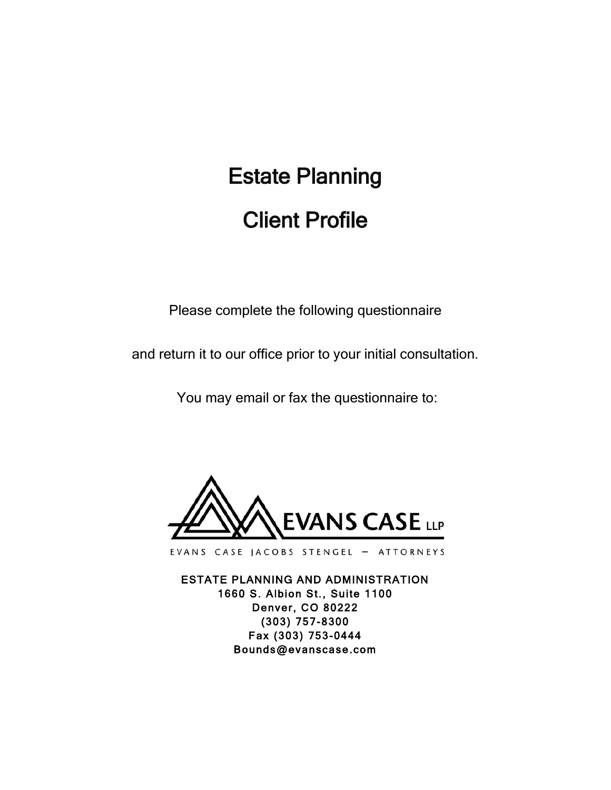# Estate Planning Client Profile

Please complete the following questionnaire

and return it to our office prior to your initial consultation.

You may email or fax the questionnaire to:



EVANS CASE JACOBS STENGEL - ATTORNEYS

ESTATE PLANNING AND ADMINISTRATION 1660 S. Albion St., Suite 1100 Denver, CO 80222 (303) 757-8300 Fax (303) 753-0444 Bounds@evanscase.com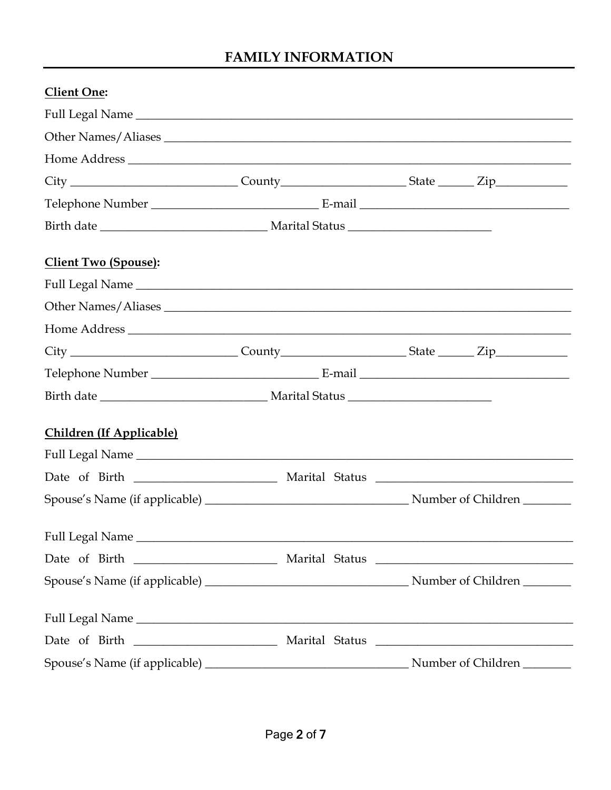## **FAMILY INFORMATION**

| <b>Client One:</b>                                                                                   |  |                    |
|------------------------------------------------------------------------------------------------------|--|--------------------|
|                                                                                                      |  |                    |
| Other Names/Aliases                                                                                  |  |                    |
|                                                                                                      |  |                    |
|                                                                                                      |  |                    |
|                                                                                                      |  |                    |
|                                                                                                      |  |                    |
| <b>Client Two (Spouse):</b>                                                                          |  |                    |
|                                                                                                      |  |                    |
| Other Names/Aliases                                                                                  |  |                    |
|                                                                                                      |  |                    |
| City ____________________________County_______________________State _________Zip____________________ |  |                    |
|                                                                                                      |  |                    |
|                                                                                                      |  |                    |
| <b>Children (If Applicable)</b>                                                                      |  |                    |
|                                                                                                      |  |                    |
|                                                                                                      |  |                    |
|                                                                                                      |  |                    |
|                                                                                                      |  |                    |
|                                                                                                      |  |                    |
|                                                                                                      |  |                    |
|                                                                                                      |  |                    |
|                                                                                                      |  |                    |
|                                                                                                      |  | Number of Children |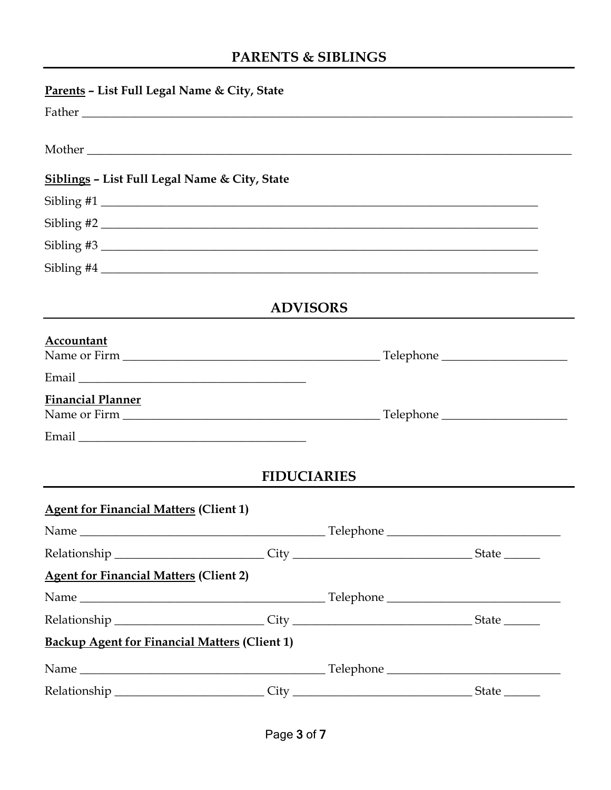# PARENTS & SIBLINGS

| Parents - List Full Legal Name & City, State                                                |                    |                 |                             |
|---------------------------------------------------------------------------------------------|--------------------|-----------------|-----------------------------|
|                                                                                             |                    |                 |                             |
|                                                                                             |                    |                 |                             |
| <b>Siblings - List Full Legal Name &amp; City, State</b>                                    |                    |                 |                             |
|                                                                                             |                    |                 |                             |
| Sibling #2                                                                                  |                    |                 |                             |
|                                                                                             |                    |                 |                             |
|                                                                                             |                    |                 |                             |
|                                                                                             |                    | <b>ADVISORS</b> |                             |
| Accountant                                                                                  |                    |                 |                             |
|                                                                                             |                    |                 |                             |
|                                                                                             |                    |                 |                             |
| <b>Financial Planner</b>                                                                    |                    |                 |                             |
|                                                                                             |                    |                 |                             |
|                                                                                             |                    |                 |                             |
|                                                                                             | <b>FIDUCIARIES</b> |                 |                             |
| <b>Agent for Financial Matters (Client 1)</b>                                               |                    |                 |                             |
|                                                                                             |                    |                 |                             |
| Relationship ___________________________City _________________________________State _______ |                    |                 |                             |
| <b>Agent for Financial Matters (Client 2)</b>                                               |                    |                 |                             |
|                                                                                             |                    |                 |                             |
| Relationship ___________________________City _________________________________State _______ |                    |                 |                             |
| <b>Backup Agent for Financial Matters (Client 1)</b>                                        |                    |                 |                             |
|                                                                                             |                    |                 |                             |
| Relationship ______________________________City ________________________________            |                    |                 | $State$ <sub>________</sub> |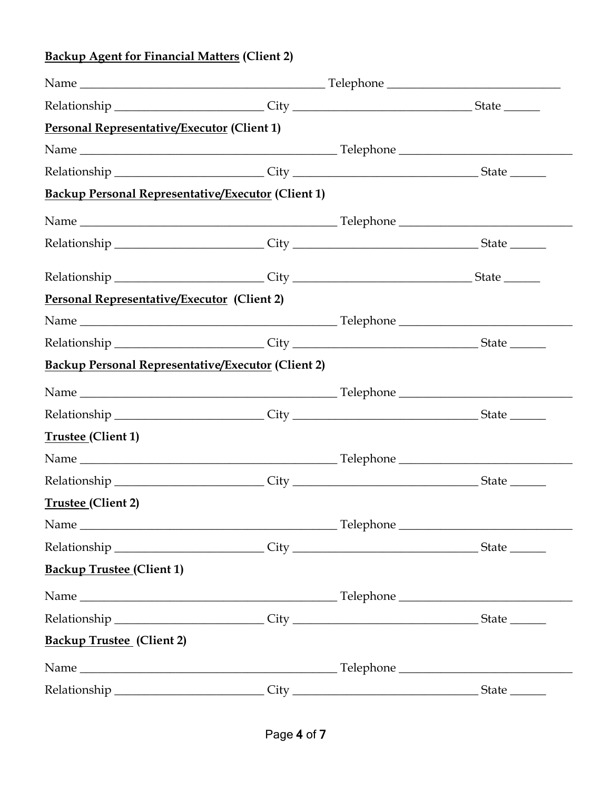# **Backup Agent for Financial Matters (Client 2)**

| Relationship ___________________________City _________________________________State ________         |  |  |
|------------------------------------------------------------------------------------------------------|--|--|
| <b>Personal Representative/Executor (Client 1)</b>                                                   |  |  |
|                                                                                                      |  |  |
| Relationship __________________________City __________________________________State ________         |  |  |
| <b>Backup Personal Representative/Executor (Client 1)</b>                                            |  |  |
|                                                                                                      |  |  |
| Relationship __________________________City __________________________________State ________         |  |  |
| Relationship ___________________________City _________________________________State _______          |  |  |
| Personal Representative/Executor (Client 2)                                                          |  |  |
|                                                                                                      |  |  |
|                                                                                                      |  |  |
| <b>Backup Personal Representative/Executor (Client 2)</b>                                            |  |  |
|                                                                                                      |  |  |
| Relationship __________________________City __________________________________State ________         |  |  |
| Trustee (Client 1)                                                                                   |  |  |
|                                                                                                      |  |  |
|                                                                                                      |  |  |
| Trustee (Client 2)                                                                                   |  |  |
|                                                                                                      |  |  |
|                                                                                                      |  |  |
| <b>Backup Trustee (Client 1)</b>                                                                     |  |  |
|                                                                                                      |  |  |
| Relationship __________________________City __________________________________State _______          |  |  |
| <b>Backup Trustee</b> (Client 2)                                                                     |  |  |
|                                                                                                      |  |  |
| Relationship ___________________________City ___________________________________State ______________ |  |  |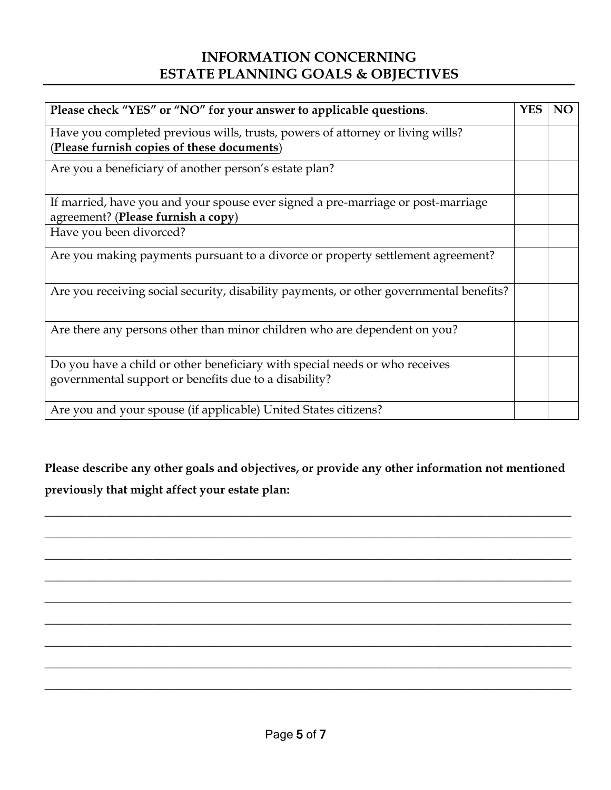# **INFORMATION CONCERNING ESTATE PLANNING GOALS & OBJECTIVES**

| Please check "YES" or "NO" for your answer to applicable questions.                     | <b>YES</b> | <b>NO</b> |
|-----------------------------------------------------------------------------------------|------------|-----------|
| Have you completed previous wills, trusts, powers of attorney or living wills?          |            |           |
| (Please furnish copies of these documents)                                              |            |           |
| Are you a beneficiary of another person's estate plan?                                  |            |           |
| If married, have you and your spouse ever signed a pre-marriage or post-marriage        |            |           |
| agreement? (Please furnish a copy)                                                      |            |           |
| Have you been divorced?                                                                 |            |           |
| Are you making payments pursuant to a divorce or property settlement agreement?         |            |           |
| Are you receiving social security, disability payments, or other governmental benefits? |            |           |
| Are there any persons other than minor children who are dependent on you?               |            |           |
| Do you have a child or other beneficiary with special needs or who receives             |            |           |
| governmental support or benefits due to a disability?                                   |            |           |
| Are you and your spouse (if applicable) United States citizens?                         |            |           |

**Please describe any other goals and objectives, or provide any other information not mentioned previously that might affect your estate plan:** 

**\_\_\_\_\_\_\_\_\_\_\_\_\_\_\_\_\_\_\_\_\_\_\_\_\_\_\_\_\_\_\_\_\_\_\_\_\_\_\_\_\_\_\_\_\_\_\_\_\_\_\_\_\_\_\_\_\_\_\_\_\_\_\_\_\_\_\_\_\_\_\_\_\_\_\_\_\_\_\_\_\_\_\_\_\_\_\_\_**

**\_\_\_\_\_\_\_\_\_\_\_\_\_\_\_\_\_\_\_\_\_\_\_\_\_\_\_\_\_\_\_\_\_\_\_\_\_\_\_\_\_\_\_\_\_\_\_\_\_\_\_\_\_\_\_\_\_\_\_\_\_\_\_\_\_\_\_\_\_\_\_\_\_\_\_\_\_\_\_\_\_\_\_\_\_\_\_\_**

**\_\_\_\_\_\_\_\_\_\_\_\_\_\_\_\_\_\_\_\_\_\_\_\_\_\_\_\_\_\_\_\_\_\_\_\_\_\_\_\_\_\_\_\_\_\_\_\_\_\_\_\_\_\_\_\_\_\_\_\_\_\_\_\_\_\_\_\_\_\_\_\_\_\_\_\_\_\_\_\_\_\_\_\_\_\_\_\_**

**\_\_\_\_\_\_\_\_\_\_\_\_\_\_\_\_\_\_\_\_\_\_\_\_\_\_\_\_\_\_\_\_\_\_\_\_\_\_\_\_\_\_\_\_\_\_\_\_\_\_\_\_\_\_\_\_\_\_\_\_\_\_\_\_\_\_\_\_\_\_\_\_\_\_\_\_\_\_\_\_\_\_\_\_\_\_\_\_**

**\_\_\_\_\_\_\_\_\_\_\_\_\_\_\_\_\_\_\_\_\_\_\_\_\_\_\_\_\_\_\_\_\_\_\_\_\_\_\_\_\_\_\_\_\_\_\_\_\_\_\_\_\_\_\_\_\_\_\_\_\_\_\_\_\_\_\_\_\_\_\_\_\_\_\_\_\_\_\_\_\_\_\_\_\_\_\_\_**

**\_\_\_\_\_\_\_\_\_\_\_\_\_\_\_\_\_\_\_\_\_\_\_\_\_\_\_\_\_\_\_\_\_\_\_\_\_\_\_\_\_\_\_\_\_\_\_\_\_\_\_\_\_\_\_\_\_\_\_\_\_\_\_\_\_\_\_\_\_\_\_\_\_\_\_\_\_\_\_\_\_\_\_\_\_\_\_\_**

**\_\_\_\_\_\_\_\_\_\_\_\_\_\_\_\_\_\_\_\_\_\_\_\_\_\_\_\_\_\_\_\_\_\_\_\_\_\_\_\_\_\_\_\_\_\_\_\_\_\_\_\_\_\_\_\_\_\_\_\_\_\_\_\_\_\_\_\_\_\_\_\_\_\_\_\_\_\_\_\_\_\_\_\_\_\_\_\_**

**\_\_\_\_\_\_\_\_\_\_\_\_\_\_\_\_\_\_\_\_\_\_\_\_\_\_\_\_\_\_\_\_\_\_\_\_\_\_\_\_\_\_\_\_\_\_\_\_\_\_\_\_\_\_\_\_\_\_\_\_\_\_\_\_\_\_\_\_\_\_\_\_\_\_\_\_\_\_\_\_\_\_\_\_\_\_\_\_**

**\_\_\_\_\_\_\_\_\_\_\_\_\_\_\_\_\_\_\_\_\_\_\_\_\_\_\_\_\_\_\_\_\_\_\_\_\_\_\_\_\_\_\_\_\_\_\_\_\_\_\_\_\_\_\_\_\_\_\_\_\_\_\_\_\_\_\_\_\_\_\_\_\_\_\_\_\_\_\_\_\_\_\_\_\_\_\_\_**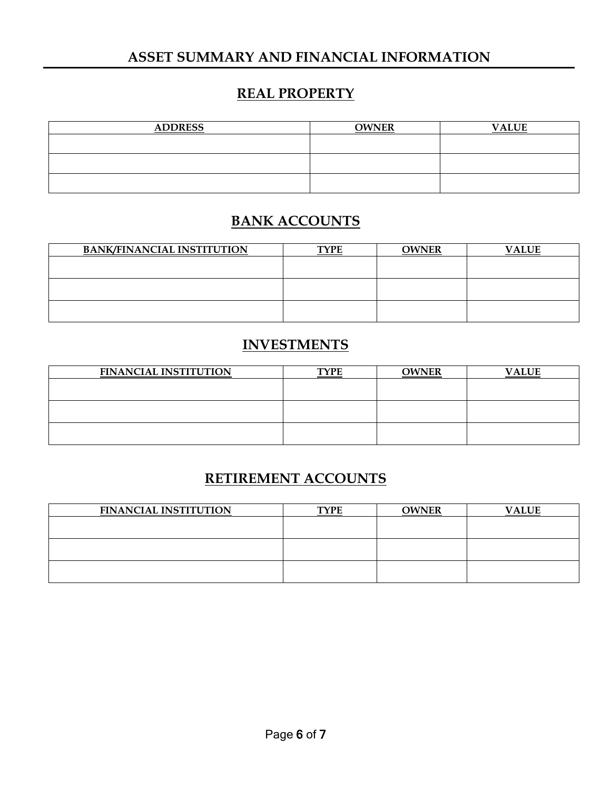#### **ASSET SUMMARY AND FINANCIAL INFORMATION**

# **REAL PROPERTY**

| <b>ADDRESS</b> | <b>OWNER</b> | <b>VALUE</b> |
|----------------|--------------|--------------|
|                |              |              |
|                |              |              |
|                |              |              |
|                |              |              |

# **BANK ACCOUNTS**

| <b>BANK/FINANCIAL INSTITUTION</b> | <b>TYPE</b> | <b>OWNER</b> | <b>VALUE</b> |
|-----------------------------------|-------------|--------------|--------------|
|                                   |             |              |              |
|                                   |             |              |              |
|                                   |             |              |              |
|                                   |             |              |              |
|                                   |             |              |              |
|                                   |             |              |              |

# **INVESTMENTS**

| <b>FINANCIAL INSTITUTION</b> | <b>TYPE</b> | <b>OWNER</b> | <b>VALUE</b> |
|------------------------------|-------------|--------------|--------------|
|                              |             |              |              |
|                              |             |              |              |
|                              |             |              |              |
|                              |             |              |              |
|                              |             |              |              |
|                              |             |              |              |

### **RETIREMENT ACCOUNTS**

| <b>FINANCIAL INSTITUTION</b> | <b>TYPE</b> | OWNER | <b>VALUE</b> |
|------------------------------|-------------|-------|--------------|
|                              |             |       |              |
|                              |             |       |              |
|                              |             |       |              |
|                              |             |       |              |
|                              |             |       |              |
|                              |             |       |              |